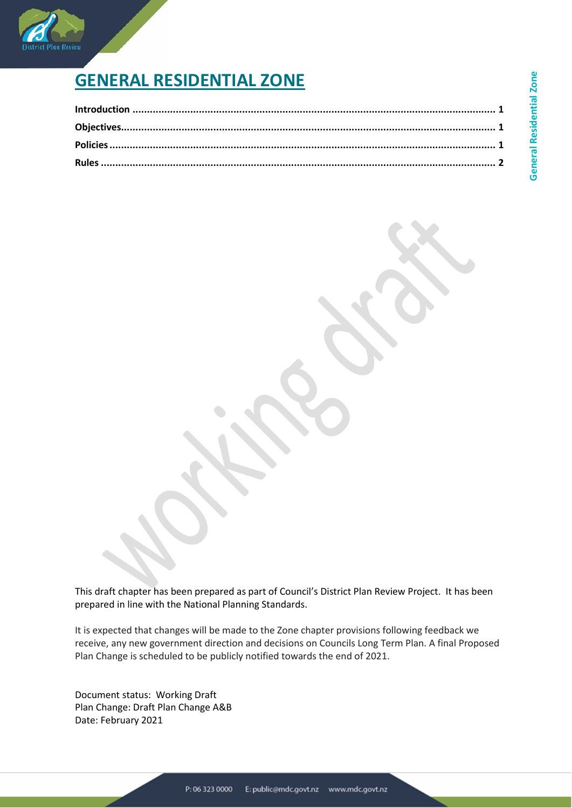

# **GENERAL RESIDENTIAL ZONE**

This draft chapter has been prepared as part of Council's District Plan Review Project.  It has been prepared in line with the National Planning Standards.

It is expected that changes will be made to the Zone chapter provisions following feedback we receive, any new government direction and decisions on Councils Long Term Plan. A final Proposed Plan Change is scheduled to be publicly notified towards the end of 2021.

Document status:  Working Draft Plan Change: Draft Plan Change A&B Date: February 2021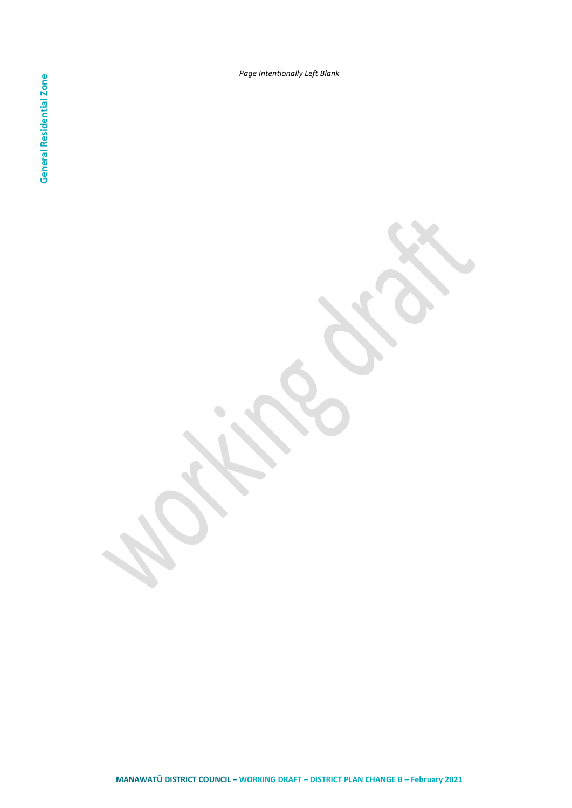*Page Intentionally Left Blank*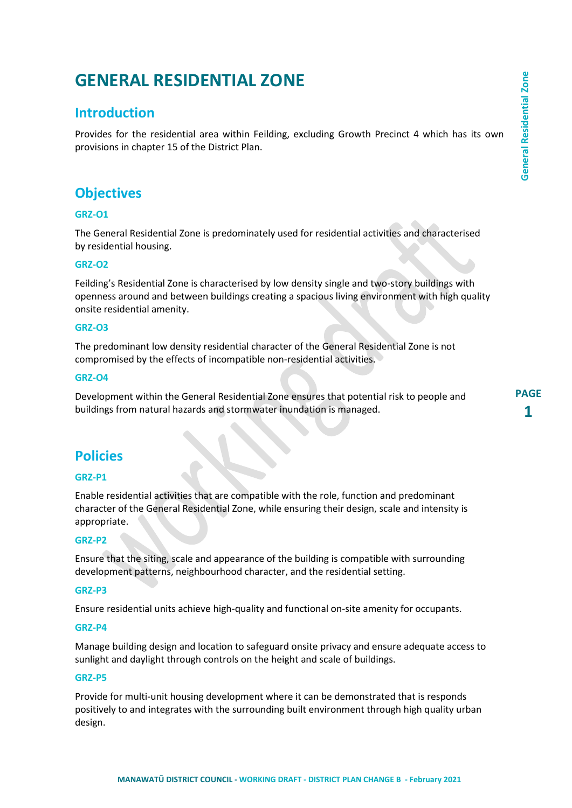# **GENERAL RESIDENTIAL ZONE**

# <span id="page-2-0"></span>**Introduction**

Provides for the residential area within Feilding, excluding Growth Precinct 4 which has its own provisions in chapter 15 of the District Plan.

# <span id="page-2-1"></span>**Objectives**

# **GRZ-O1**

The General Residential Zone is predominately used for residential activities and characterised by residential housing.

# **GRZ-O2**

Feilding's Residential Zone is characterised by low density single and two-story buildings with openness around and between buildings creating a spacious living environment with high quality onsite residential amenity.

#### **GRZ-O3**

The predominant low density residential character of the General Residential Zone is not compromised by the effects of incompatible non-residential activities.

#### **GRZ-O4**

Development within the General Residential Zone ensures that potential risk to people and buildings from natural hazards and stormwater inundation is managed.

**PAGE 1**

# <span id="page-2-2"></span>**Policies**

# **GRZ-P1**

Enable residential activities that are compatible with the role, function and predominant character of the General Residential Zone, while ensuring their design, scale and intensity is appropriate.

# **GRZ-P2**

Ensure that the siting, scale and appearance of the building is compatible with surrounding development patterns, neighbourhood character, and the residential setting.

# **GRZ-P3**

Ensure residential units achieve high-quality and functional on-site amenity for occupants.

#### **GRZ-P4**

Manage building design and location to safeguard onsite privacy and ensure adequate access to sunlight and daylight through controls on the height and scale of buildings.

#### **GRZ-P5**

Provide for multi-unit housing development where it can be demonstrated that is responds positively to and integrates with the surrounding built environment through high quality urban design.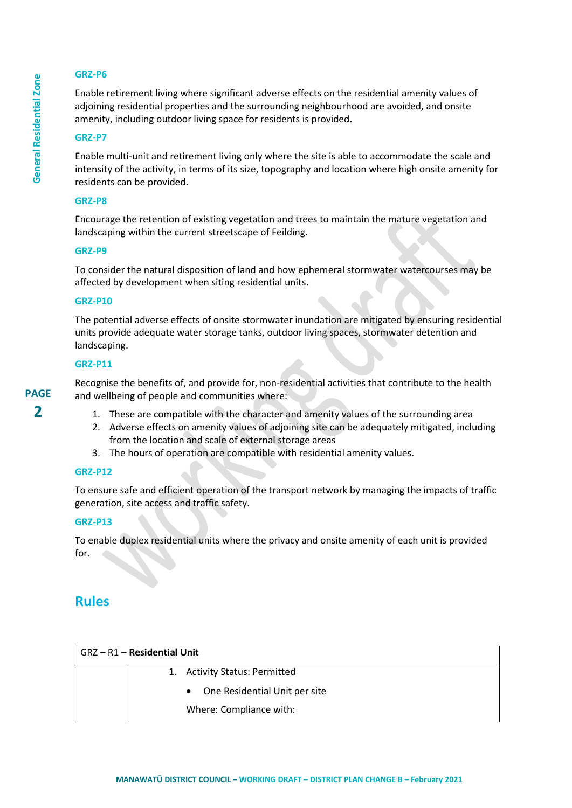#### **GRZ-P6**

Enable retirement living where significant adverse effects on the residential amenity values of adjoining residential properties and the surrounding neighbourhood are avoided, and onsite amenity, including outdoor living space for residents is provided.

# **GRZ-P7**

**General Residential Zone**

General Residential Zone

Enable multi-unit and retirement living only where the site is able to accommodate the scale and intensity of the activity, in terms of its size, topography and location where high onsite amenity for residents can be provided.

# **GRZ-P8**

Encourage the retention of existing vegetation and trees to maintain the mature vegetation and landscaping within the current streetscape of Feilding.

# **GRZ-P9**

To consider the natural disposition of land and how ephemeral stormwater watercourses may be affected by development when siting residential units.

#### **GRZ-P10**

The potential adverse effects of onsite stormwater inundation are mitigated by ensuring residential units provide adequate water storage tanks, outdoor living spaces, stormwater detention and landscaping.

#### **GRZ-P11**

Recognise the benefits of, and provide for, non-residential activities that contribute to the health and wellbeing of people and communities where:

- 1. These are compatible with the character and amenity values of the surrounding area
- 2. Adverse effects on amenity values of adjoining site can be adequately mitigated, including from the location and scale of external storage areas
- 3. The hours of operation are compatible with residential amenity values.

# **GRZ-P12**

To ensure safe and efficient operation of the transport network by managing the impacts of traffic generation, site access and traffic safety.

# **GRZ-P13**

To enable duplex residential units where the privacy and onsite amenity of each unit is provided for.

# <span id="page-3-0"></span>**Rules**

| $GRZ - R1 - Residental$ Unit |                                            |  |
|------------------------------|--------------------------------------------|--|
|                              | 1. Activity Status: Permitted              |  |
|                              | One Residential Unit per site<br>$\bullet$ |  |
|                              | Where: Compliance with:                    |  |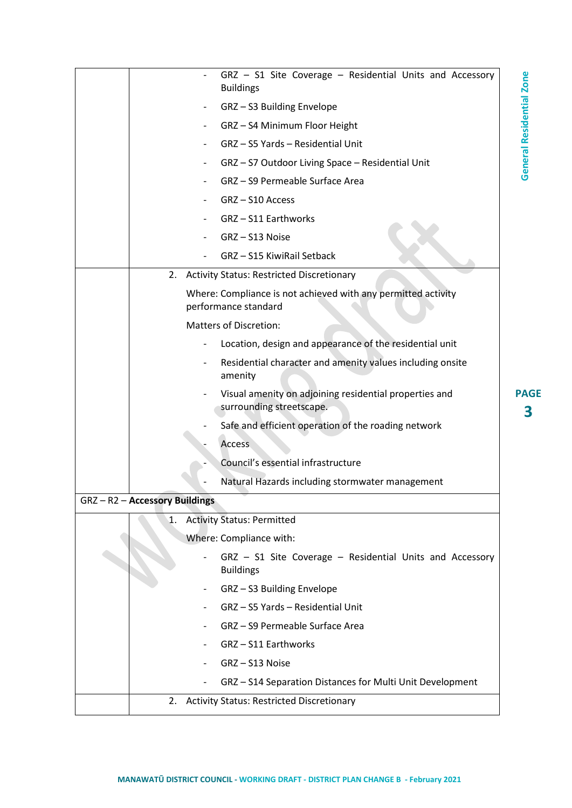|                            | <b>Buildings</b>                                                                      |
|----------------------------|---------------------------------------------------------------------------------------|
| -                          | GRZ-S3 Building Envelope                                                              |
|                            | GRZ-S4 Minimum Floor Height                                                           |
|                            | GRZ-S5 Yards-Residential Unit                                                         |
|                            | GRZ-S7 Outdoor Living Space-Residential Unit                                          |
|                            | GRZ-S9 Permeable Surface Area                                                         |
|                            | GRZ-S10 Access                                                                        |
|                            | GRZ-S11 Earthworks                                                                    |
|                            | GRZ-S13 Noise                                                                         |
|                            | GRZ-S15 KiwiRail Setback                                                              |
|                            | 2. Activity Status: Restricted Discretionary                                          |
|                            | Where: Compliance is not achieved with any permitted activity<br>performance standard |
|                            | <b>Matters of Discretion:</b>                                                         |
|                            | Location, design and appearance of the residential unit                               |
|                            | Residential character and amenity values including onsite<br>amenity                  |
|                            | Visual amenity on adjoining residential properties and<br>surrounding streetscape.    |
|                            | Safe and efficient operation of the roading network                                   |
|                            | <b>Access</b>                                                                         |
|                            | Council's essential infrastructure                                                    |
|                            | Natural Hazards including stormwater management                                       |
| GRZ-R2-Accessory Buildings |                                                                                       |
| 1.                         | <b>Activity Status: Permitted</b>                                                     |
|                            | Where: Compliance with:                                                               |
|                            | GRZ - S1 Site Coverage - Residential Units and Accessory<br><b>Buildings</b>          |
|                            | GRZ-S3 Building Envelope                                                              |
|                            | GRZ-S5 Yards-Residential Unit                                                         |
|                            | GRZ-S9 Permeable Surface Area                                                         |
|                            | GRZ-S11 Earthworks                                                                    |
|                            | GRZ-S13 Noise                                                                         |
|                            | GRZ-S14 Separation Distances for Multi Unit Development                               |
| 2.                         | <b>Activity Status: Restricted Discretionary</b>                                      |

- GRZ – S1 Site Coverage – Residential Units and Accessory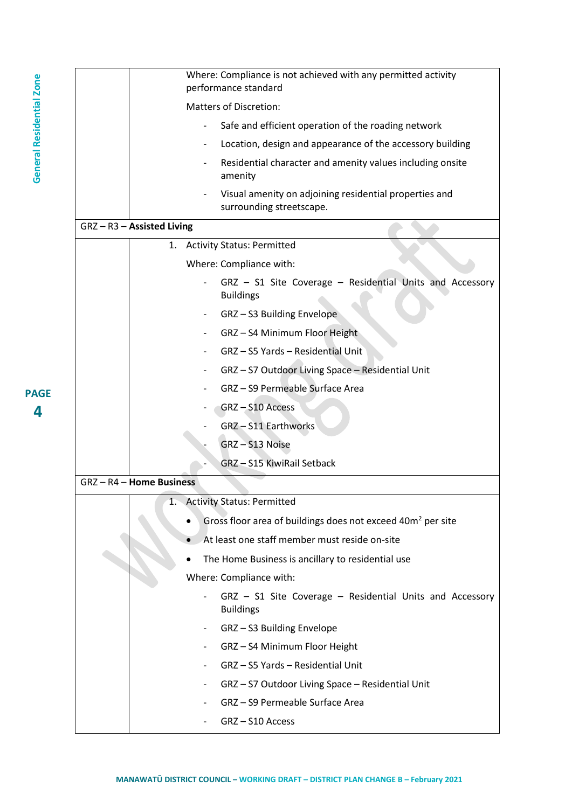|                        | Where: Compliance is not achieved with any permitted activity<br>performance standard |
|------------------------|---------------------------------------------------------------------------------------|
|                        | <b>Matters of Discretion:</b>                                                         |
|                        | Safe and efficient operation of the roading network<br>-                              |
|                        | Location, design and appearance of the accessory building<br>$\overline{\phantom{0}}$ |
|                        | Residential character and amenity values including onsite<br>amenity                  |
|                        | Visual amenity on adjoining residential properties and<br>surrounding streetscape.    |
| GRZ-R3-Assisted Living |                                                                                       |
|                        | 1. Activity Status: Permitted                                                         |
|                        | Where: Compliance with:                                                               |
|                        | GRZ - S1 Site Coverage - Residential Units and Accessory<br><b>Buildings</b>          |
|                        | GRZ-S3 Building Envelope                                                              |
|                        | GRZ-S4 Minimum Floor Height                                                           |
|                        | GRZ-S5 Yards-Residential Unit                                                         |
|                        | GRZ-S7 Outdoor Living Space-Residential Unit<br>-                                     |
|                        | GRZ-S9 Permeable Surface Area                                                         |
|                        | GRZ-S10 Access                                                                        |
|                        | GRZ-S11 Earthworks                                                                    |
|                        | GRZ-S13 Noise                                                                         |
|                        | GRZ-S15 KiwiRail Setback                                                              |
| GRZ-R4-Home Business   |                                                                                       |
| 1.                     | <b>Activity Status: Permitted</b>                                                     |
|                        | Gross floor area of buildings does not exceed 40m <sup>2</sup> per site               |
|                        | At least one staff member must reside on-site                                         |
|                        | The Home Business is ancillary to residential use                                     |
|                        | Where: Compliance with:                                                               |
|                        | GRZ - S1 Site Coverage - Residential Units and Accessory<br><b>Buildings</b>          |
|                        | GRZ-S3 Building Envelope<br>-                                                         |
|                        | GRZ-S4 Minimum Floor Height<br>$\overline{\phantom{0}}$                               |
|                        | GRZ-S5 Yards-Residential Unit                                                         |
|                        | GRZ-S7 Outdoor Living Space - Residential Unit<br>-                                   |
|                        | GRZ-S9 Permeable Surface Area                                                         |
|                        |                                                                                       |
|                        | GRZ-S10 Access                                                                        |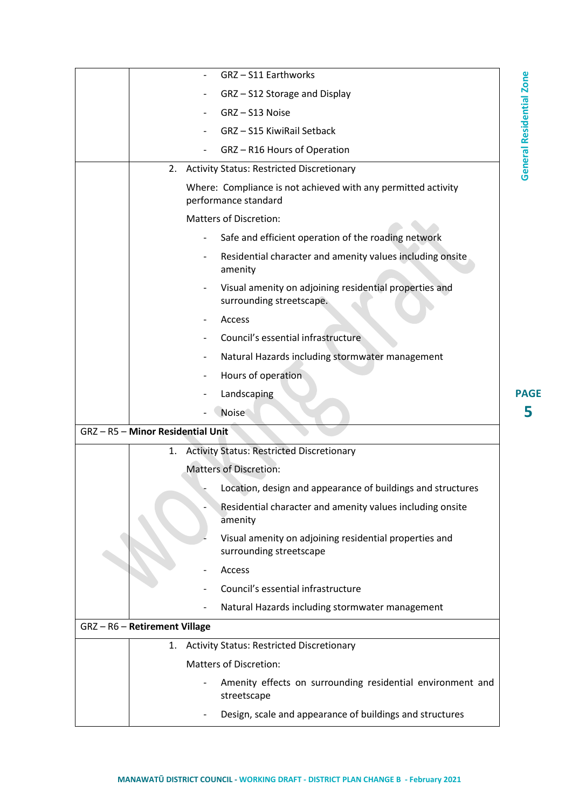General Residential Zone **General Residential Zone**

| GRZ-S11 Earthworks                                                                    |  |
|---------------------------------------------------------------------------------------|--|
| GRZ-S12 Storage and Display                                                           |  |
| GRZ-S13 Noise                                                                         |  |
| GRZ-S15 KiwiRail Setback                                                              |  |
| GRZ-R16 Hours of Operation                                                            |  |
| 2. Activity Status: Restricted Discretionary                                          |  |
| Where: Compliance is not achieved with any permitted activity<br>performance standard |  |
| <b>Matters of Discretion:</b>                                                         |  |
| Safe and efficient operation of the roading network                                   |  |
| Residential character and amenity values including onsite<br>amenity                  |  |
| Visual amenity on adjoining residential properties and<br>surrounding streetscape.    |  |
| Access                                                                                |  |
| Council's essential infrastructure                                                    |  |
| Natural Hazards including stormwater management                                       |  |
| Hours of operation                                                                    |  |
| Landscaping                                                                           |  |
| Noise <sup>®</sup>                                                                    |  |
| GRZ-R5-Minor Residential Unit                                                         |  |
| <b>Activity Status: Restricted Discretionary</b><br>1.                                |  |
| <b>Matters of Discretion:</b>                                                         |  |
|                                                                                       |  |
| Location, design and appearance of buildings and structures                           |  |
| Residential character and amenity values including onsite<br>amenity                  |  |
| Visual amenity on adjoining residential properties and<br>surrounding streetscape     |  |
| Access                                                                                |  |
| Council's essential infrastructure                                                    |  |
| Natural Hazards including stormwater management                                       |  |
| GRZ-R6-Retirement Village                                                             |  |
| <b>Activity Status: Restricted Discretionary</b><br>1.                                |  |
| <b>Matters of Discretion:</b>                                                         |  |
| Amenity effects on surrounding residential environment and<br>streetscape             |  |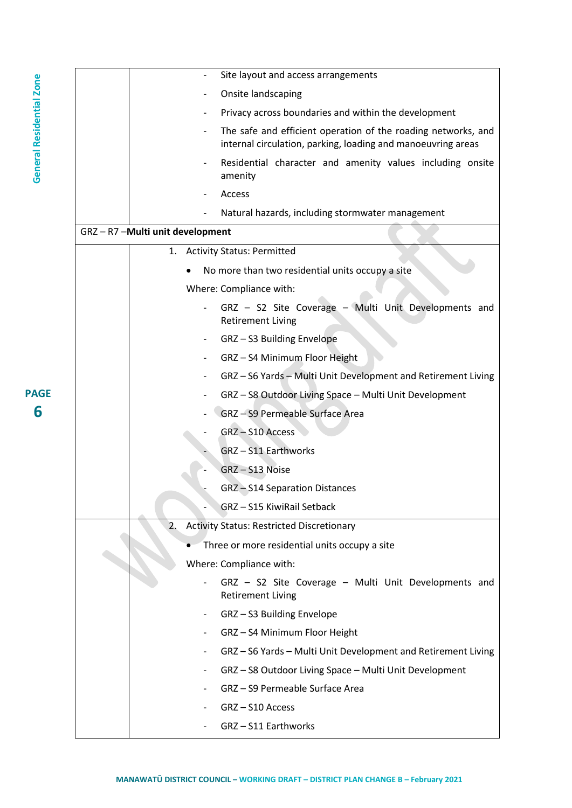|                                   |                          | Site layout and access arrangements                                                                                           |
|-----------------------------------|--------------------------|-------------------------------------------------------------------------------------------------------------------------------|
|                                   |                          | Onsite landscaping                                                                                                            |
|                                   |                          | Privacy across boundaries and within the development                                                                          |
|                                   |                          | The safe and efficient operation of the roading networks, and<br>internal circulation, parking, loading and manoeuvring areas |
|                                   |                          | Residential character and amenity values including onsite<br>amenity                                                          |
|                                   |                          | Access                                                                                                                        |
|                                   |                          | Natural hazards, including stormwater management                                                                              |
| GRZ - R7 - Multi unit development |                          |                                                                                                                               |
| 1.                                |                          | <b>Activity Status: Permitted</b>                                                                                             |
|                                   |                          | No more than two residential units occupy a site                                                                              |
|                                   |                          | Where: Compliance with:                                                                                                       |
|                                   |                          | GRZ - S2 Site Coverage - Multi Unit Developments and<br><b>Retirement Living</b>                                              |
|                                   |                          | GRZ-S3 Building Envelope                                                                                                      |
|                                   |                          | GRZ-S4 Minimum Floor Height                                                                                                   |
|                                   |                          | GRZ-S6 Yards-Multi Unit Development and Retirement Living                                                                     |
|                                   |                          | GRZ-S8 Outdoor Living Space - Multi Unit Development                                                                          |
|                                   |                          | GRZ-S9 Permeable Surface Area                                                                                                 |
|                                   |                          | GRZ-S10 Access                                                                                                                |
|                                   |                          | GRZ-S11 Earthworks                                                                                                            |
|                                   |                          | GRZ-S13 Noise                                                                                                                 |
|                                   |                          | <b>GRZ-S14 Separation Distances</b>                                                                                           |
|                                   |                          | GRZ-S15 KiwiRail Setback                                                                                                      |
| 2.                                |                          | <b>Activity Status: Restricted Discretionary</b>                                                                              |
|                                   |                          | Three or more residential units occupy a site                                                                                 |
|                                   |                          | Where: Compliance with:                                                                                                       |
|                                   |                          | GRZ - S2 Site Coverage - Multi Unit Developments and<br><b>Retirement Living</b>                                              |
|                                   |                          | GRZ-S3 Building Envelope                                                                                                      |
|                                   |                          | GRZ-S4 Minimum Floor Height                                                                                                   |
|                                   |                          | GRZ-S6 Yards-Multi Unit Development and Retirement Living                                                                     |
|                                   | $\overline{\phantom{a}}$ | GRZ-S8 Outdoor Living Space - Multi Unit Development                                                                          |
|                                   |                          | GRZ-S9 Permeable Surface Area                                                                                                 |
|                                   |                          | GRZ-S10 Access                                                                                                                |
|                                   |                          | GRZ-S11 Earthworks                                                                                                            |
|                                   |                          |                                                                                                                               |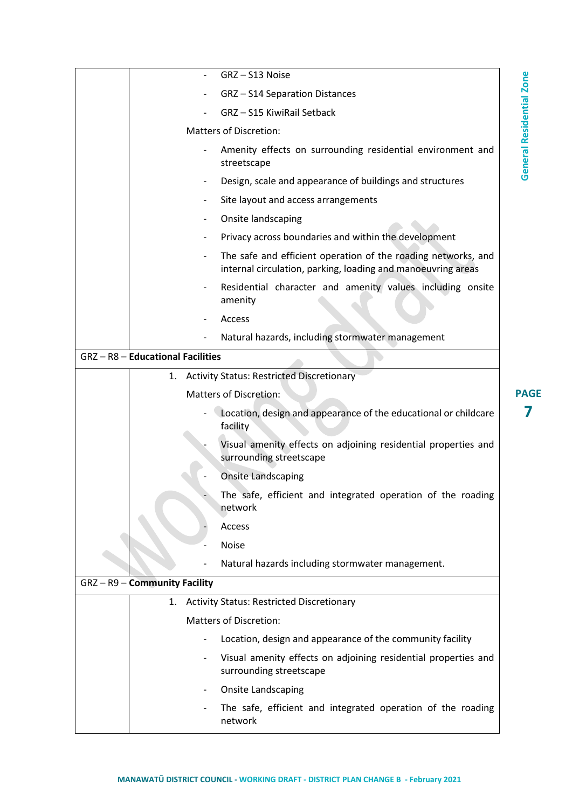General Residential Zone **General Residential Zone**

**PAGE 7**

|                                      | GRZ-S14 Separation Distances                                                                                                  |
|--------------------------------------|-------------------------------------------------------------------------------------------------------------------------------|
|                                      | GRZ-S15 KiwiRail Setback                                                                                                      |
|                                      | <b>Matters of Discretion:</b>                                                                                                 |
|                                      | Amenity effects on surrounding residential environment and<br>streetscape                                                     |
|                                      | Design, scale and appearance of buildings and structures                                                                      |
|                                      | Site layout and access arrangements                                                                                           |
|                                      | Onsite landscaping                                                                                                            |
| $\overline{\phantom{a}}$             | Privacy across boundaries and within the development                                                                          |
|                                      | The safe and efficient operation of the roading networks, and<br>internal circulation, parking, loading and manoeuvring areas |
|                                      | Residential character and amenity values including onsite<br>amenity                                                          |
|                                      | Access                                                                                                                        |
|                                      | Natural hazards, including stormwater management                                                                              |
| <b>GRZ-R8-Educational Facilities</b> |                                                                                                                               |
| 1.                                   | <b>Activity Status: Restricted Discretionary</b>                                                                              |
|                                      | Matters of Discretion:                                                                                                        |
|                                      | Location, design and appearance of the educational or childcare<br>facility                                                   |
|                                      | Visual amenity effects on adjoining residential properties and<br>surrounding streetscape                                     |
|                                      | <b>Onsite Landscaping</b>                                                                                                     |
|                                      | The safe, efficient and integrated operation of the roading<br>network                                                        |
|                                      | Access                                                                                                                        |
|                                      | <b>Noise</b>                                                                                                                  |
|                                      | Natural hazards including stormwater management.                                                                              |
| GRZ-R9-Community Facility            |                                                                                                                               |
| 1.                                   | <b>Activity Status: Restricted Discretionary</b>                                                                              |
|                                      | <b>Matters of Discretion:</b>                                                                                                 |
| $\qquad \qquad \blacksquare$         | Location, design and appearance of the community facility                                                                     |
|                                      | Visual amenity effects on adjoining residential properties and<br>surrounding streetscape                                     |
|                                      | <b>Onsite Landscaping</b>                                                                                                     |
|                                      | The safe, efficient and integrated operation of the roading<br>network                                                        |

- GRZ – S13 Noise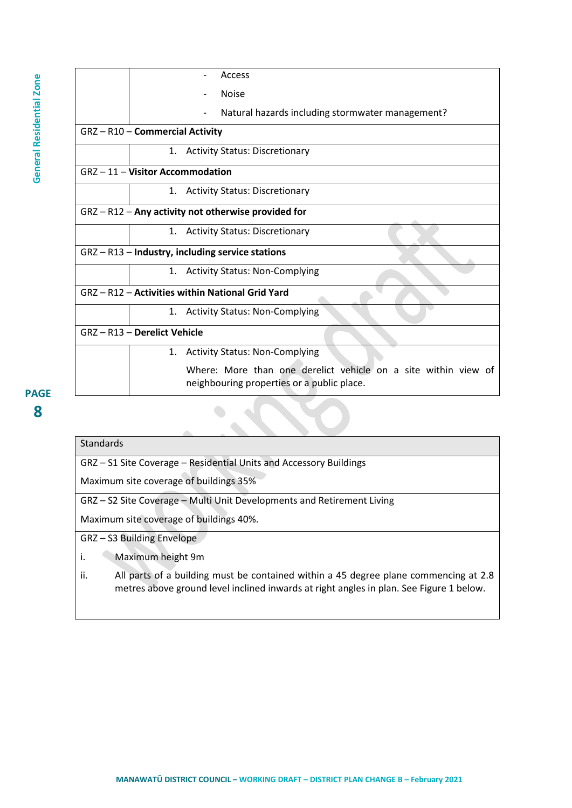| Access                                                                                                       |
|--------------------------------------------------------------------------------------------------------------|
| <b>Noise</b>                                                                                                 |
| Natural hazards including stormwater management?                                                             |
| GRZ-R10-Commercial Activity                                                                                  |
| 1. Activity Status: Discretionary                                                                            |
| GRZ-11-Visitor Accommodation                                                                                 |
| 1. Activity Status: Discretionary                                                                            |
| $GRZ - R12 - Any activity not otherwise provided for$                                                        |
| 1. Activity Status: Discretionary                                                                            |
| GRZ-R13-Industry, including service stations                                                                 |
| 1. Activity Status: Non-Complying                                                                            |
| GRZ - R12 - Activities within National Grid Yard                                                             |
| 1. Activity Status: Non-Complying                                                                            |
| GRZ-R13-Derelict Vehicle                                                                                     |
| 1. Activity Status: Non-Complying                                                                            |
| Where: More than one derelict vehicle on a site within view of<br>neighbouring properties or a public place. |
|                                                                                                              |

| <b>Standards</b>                                                                                                                                                                       |
|----------------------------------------------------------------------------------------------------------------------------------------------------------------------------------------|
| GRZ-S1 Site Coverage - Residential Units and Accessory Buildings                                                                                                                       |
| Maximum site coverage of buildings 35%                                                                                                                                                 |
| GRZ – S2 Site Coverage – Multi Unit Developments and Retirement Living                                                                                                                 |
| Maximum site coverage of buildings 40%.                                                                                                                                                |
| GRZ-S3 Building Envelope                                                                                                                                                               |
| Maximum height 9m<br>i.                                                                                                                                                                |
| ii.<br>All parts of a building must be contained within a 45 degree plane commencing at 2.8<br>metres above ground level inclined inwards at right angles in plan. See Figure 1 below. |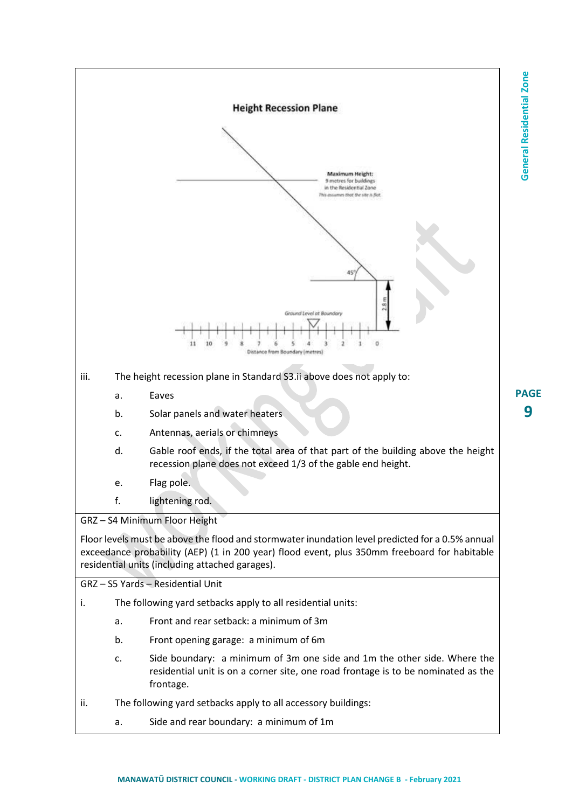

a. Side and rear boundary: a minimum of 1m

**PAGE 9**

**General Residential Zone**

General Residential Zone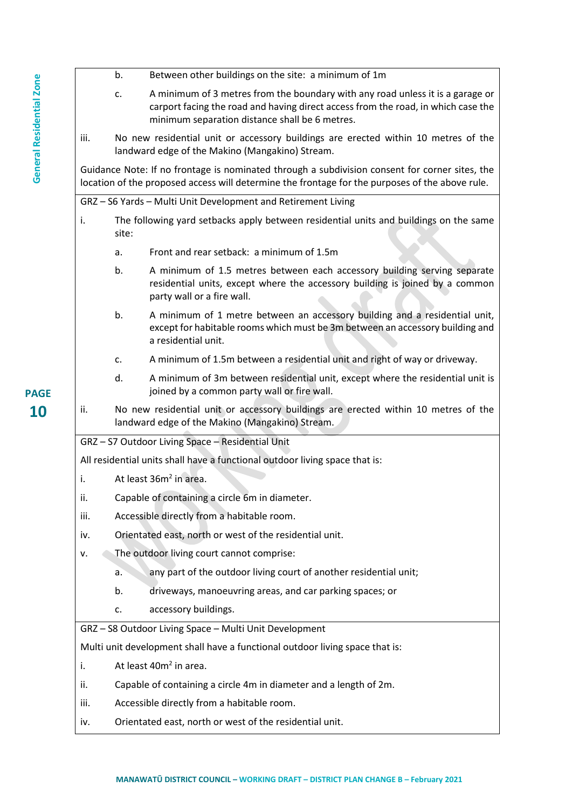|      | b.    | Between other buildings on the site: a minimum of 1m                                                                                                                                                                  |
|------|-------|-----------------------------------------------------------------------------------------------------------------------------------------------------------------------------------------------------------------------|
|      | c.    | A minimum of 3 metres from the boundary with any road unless it is a garage or<br>carport facing the road and having direct access from the road, in which case the<br>minimum separation distance shall be 6 metres. |
| iii. |       | No new residential unit or accessory buildings are erected within 10 metres of the<br>landward edge of the Makino (Mangakino) Stream.                                                                                 |
|      |       | Guidance Note: If no frontage is nominated through a subdivision consent for corner sites, the<br>location of the proposed access will determine the frontage for the purposes of the above rule.                     |
|      |       | GRZ-S6 Yards-Multi Unit Development and Retirement Living                                                                                                                                                             |
| i.   | site: | The following yard setbacks apply between residential units and buildings on the same                                                                                                                                 |
|      | a.    | Front and rear setback: a minimum of 1.5m                                                                                                                                                                             |
|      | b.    | A minimum of 1.5 metres between each accessory building serving separate<br>residential units, except where the accessory building is joined by a common<br>party wall or a fire wall.                                |
|      | b.    | A minimum of 1 metre between an accessory building and a residential unit,<br>except for habitable rooms which must be 3m between an accessory building and<br>a residential unit.                                    |
|      | c.    | A minimum of 1.5m between a residential unit and right of way or driveway.                                                                                                                                            |
|      | d.    | A minimum of 3m between residential unit, except where the residential unit is<br>joined by a common party wall or fire wall.                                                                                         |
| ii.  |       | No new residential unit or accessory buildings are erected within 10 metres of the<br>landward edge of the Makino (Mangakino) Stream.                                                                                 |
|      |       | GRZ-S7 Outdoor Living Space-Residential Unit                                                                                                                                                                          |
|      |       | All residential units shall have a functional outdoor living space that is:                                                                                                                                           |
| i.   |       | At least 36m <sup>2</sup> in area.                                                                                                                                                                                    |
| ii.  |       | Capable of containing a circle 6m in diameter.                                                                                                                                                                        |
| iii. |       | Accessible directly from a habitable room.                                                                                                                                                                            |
| iv.  |       | Orientated east, north or west of the residential unit.                                                                                                                                                               |
| v.   |       | The outdoor living court cannot comprise:                                                                                                                                                                             |
|      | a.    | any part of the outdoor living court of another residential unit;                                                                                                                                                     |
|      | b.    | driveways, manoeuvring areas, and car parking spaces; or                                                                                                                                                              |
|      | c.    | accessory buildings.                                                                                                                                                                                                  |
|      |       | GRZ-S8 Outdoor Living Space - Multi Unit Development                                                                                                                                                                  |
|      |       | Multi unit development shall have a functional outdoor living space that is:                                                                                                                                          |

- i. At least  $40m^2$  in area.
- ii. Capable of containing a circle 4m in diameter and a length of 2m.
- iii. Accessible directly from a habitable room.
- iv. Orientated east, north or west of the residential unit.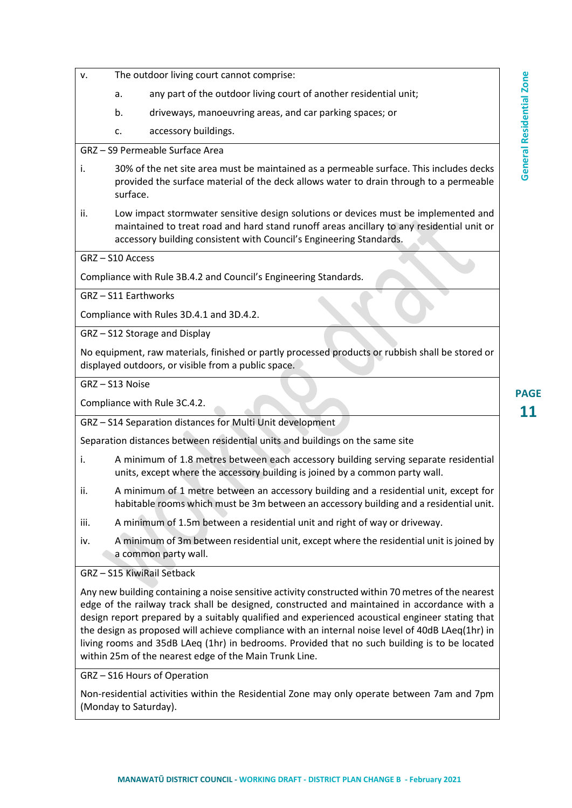v. The outdoor living court cannot comprise:

- a. any part of the outdoor living court of another residential unit;
- b. driveways, manoeuvring areas, and car parking spaces; or
- c. accessory buildings.

GRZ – S9 Permeable Surface Area

- i. 30% of the net site area must be maintained as a permeable surface. This includes decks provided the surface material of the deck allows water to drain through to a permeable surface.
- ii. Low impact stormwater sensitive design solutions or devices must be implemented and maintained to treat road and hard stand runoff areas ancillary to any residential unit or accessory building consistent with Council's Engineering Standards.

# GRZ – S10 Access

Compliance with Rule 3B.4.2 and Council's Engineering Standards.

GRZ – S11 Earthworks

Compliance with Rules 3D.4.1 and 3D.4.2.

GRZ – S12 Storage and Display

No equipment, raw materials, finished or partly processed products or rubbish shall be stored or displayed outdoors, or visible from a public space.

GRZ – S13 Noise

Compliance with Rule 3C.4.2.

GRZ – S14 Separation distances for Multi Unit development

Separation distances between residential units and buildings on the same site

- i. A minimum of 1.8 metres between each accessory building serving separate residential units, except where the accessory building is joined by a common party wall.
- ii. A minimum of 1 metre between an accessory building and a residential unit, except for habitable rooms which must be 3m between an accessory building and a residential unit.
- iii. A minimum of 1.5m between a residential unit and right of way or driveway.
- iv. A minimum of 3m between residential unit, except where the residential unit is joined by **a** common party wall.
- GRZ S15 KiwiRail Setback

Any new building containing a noise sensitive activity constructed within 70 metres of the nearest edge of the railway track shall be designed, constructed and maintained in accordance with a design report prepared by a suitably qualified and experienced acoustical engineer stating that the design as proposed will achieve compliance with an internal noise level of 40dB LAeq(1hr) in living rooms and 35dB LAeq (1hr) in bedrooms. Provided that no such building is to be located within 25m of the nearest edge of the Main Trunk Line.

GRZ – S16 Hours of Operation

Non-residential activities within the Residential Zone may only operate between 7am and 7pm (Monday to Saturday).